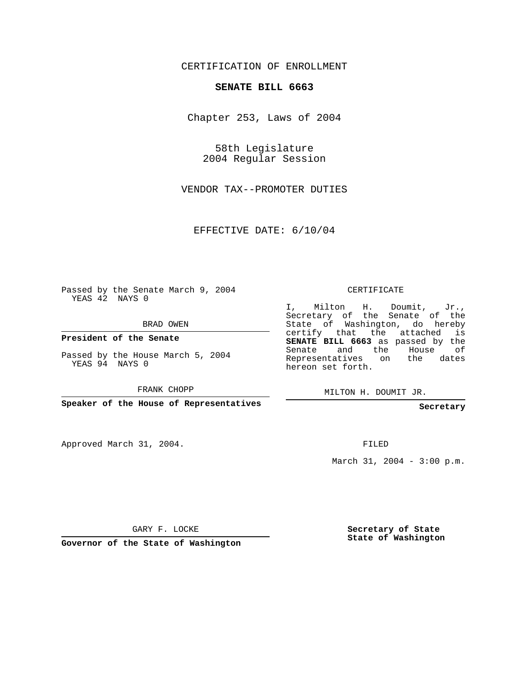## CERTIFICATION OF ENROLLMENT

## **SENATE BILL 6663**

Chapter 253, Laws of 2004

58th Legislature 2004 Regular Session

VENDOR TAX--PROMOTER DUTIES

EFFECTIVE DATE: 6/10/04

Passed by the Senate March 9, 2004 YEAS 42 NAYS 0

BRAD OWEN

**President of the Senate**

Passed by the House March 5, 2004 YEAS 94 NAYS 0

FRANK CHOPP

**Speaker of the House of Representatives**

Approved March 31, 2004.

CERTIFICATE

I, Milton H. Doumit, Jr., Secretary of the Senate of the State of Washington, do hereby certify that the attached is **SENATE BILL 6663** as passed by the Senate and the House of Representatives on the dates hereon set forth.

MILTON H. DOUMIT JR.

**Secretary**

FILED

March 31, 2004 - 3:00 p.m.

GARY F. LOCKE

**Governor of the State of Washington**

**Secretary of State State of Washington**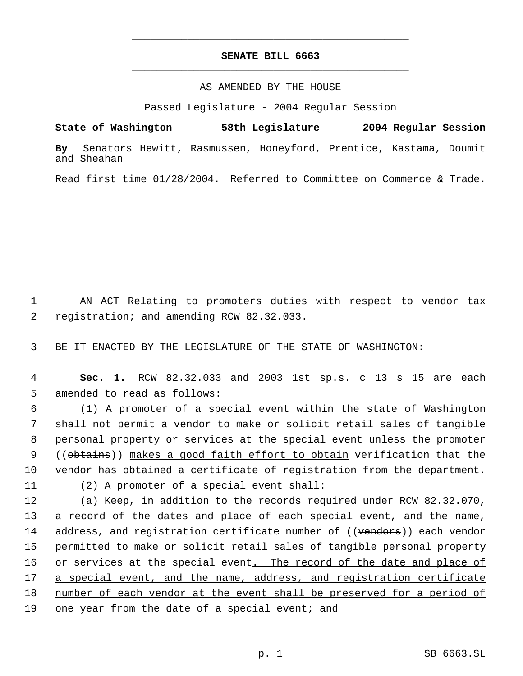## **SENATE BILL 6663** \_\_\_\_\_\_\_\_\_\_\_\_\_\_\_\_\_\_\_\_\_\_\_\_\_\_\_\_\_\_\_\_\_\_\_\_\_\_\_\_\_\_\_\_\_

\_\_\_\_\_\_\_\_\_\_\_\_\_\_\_\_\_\_\_\_\_\_\_\_\_\_\_\_\_\_\_\_\_\_\_\_\_\_\_\_\_\_\_\_\_

## AS AMENDED BY THE HOUSE

Passed Legislature - 2004 Regular Session

**State of Washington 58th Legislature 2004 Regular Session By** Senators Hewitt, Rasmussen, Honeyford, Prentice, Kastama, Doumit and Sheahan

Read first time 01/28/2004. Referred to Committee on Commerce & Trade.

 1 AN ACT Relating to promoters duties with respect to vendor tax 2 registration; and amending RCW 82.32.033.

3 BE IT ENACTED BY THE LEGISLATURE OF THE STATE OF WASHINGTON:

 4 **Sec. 1.** RCW 82.32.033 and 2003 1st sp.s. c 13 s 15 are each 5 amended to read as follows:

 (1) A promoter of a special event within the state of Washington shall not permit a vendor to make or solicit retail sales of tangible personal property or services at the special event unless the promoter 9 ((obtains)) makes a good faith effort to obtain verification that the vendor has obtained a certificate of registration from the department.

11 (2) A promoter of a special event shall:

12 (a) Keep, in addition to the records required under RCW 82.32.070, 13 a record of the dates and place of each special event, and the name, 14 address, and registration certificate number of ((vendors)) each vendor 15 permitted to make or solicit retail sales of tangible personal property 16 or services at the special event. The record of the date and place of 17 a special event, and the name, address, and registration certificate 18 number of each vendor at the event shall be preserved for a period of 19 one year from the date of a special event; and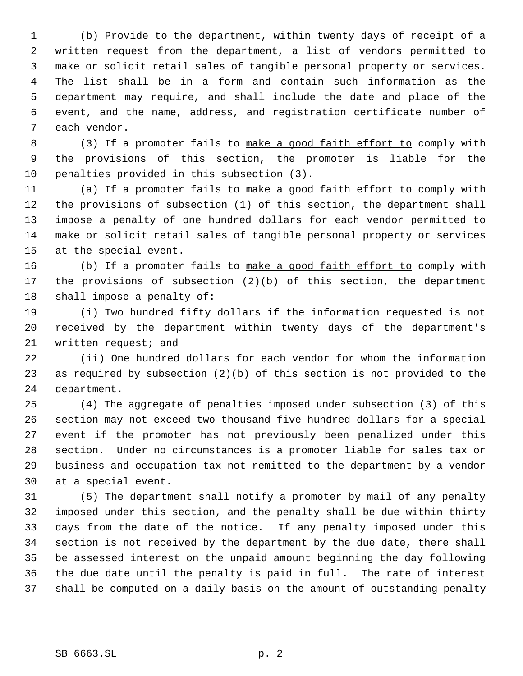(b) Provide to the department, within twenty days of receipt of a written request from the department, a list of vendors permitted to make or solicit retail sales of tangible personal property or services. The list shall be in a form and contain such information as the department may require, and shall include the date and place of the event, and the name, address, and registration certificate number of each vendor.

8 (3) If a promoter fails to make a good faith effort to comply with the provisions of this section, the promoter is liable for the penalties provided in this subsection (3).

11 (a) If a promoter fails to make a good faith effort to comply with the provisions of subsection (1) of this section, the department shall impose a penalty of one hundred dollars for each vendor permitted to make or solicit retail sales of tangible personal property or services at the special event.

16 (b) If a promoter fails to make a good faith effort to comply with the provisions of subsection (2)(b) of this section, the department shall impose a penalty of:

 (i) Two hundred fifty dollars if the information requested is not received by the department within twenty days of the department's 21 written request; and

 (ii) One hundred dollars for each vendor for whom the information as required by subsection (2)(b) of this section is not provided to the department.

 (4) The aggregate of penalties imposed under subsection (3) of this section may not exceed two thousand five hundred dollars for a special event if the promoter has not previously been penalized under this section. Under no circumstances is a promoter liable for sales tax or business and occupation tax not remitted to the department by a vendor at a special event.

 (5) The department shall notify a promoter by mail of any penalty imposed under this section, and the penalty shall be due within thirty days from the date of the notice. If any penalty imposed under this section is not received by the department by the due date, there shall be assessed interest on the unpaid amount beginning the day following the due date until the penalty is paid in full. The rate of interest shall be computed on a daily basis on the amount of outstanding penalty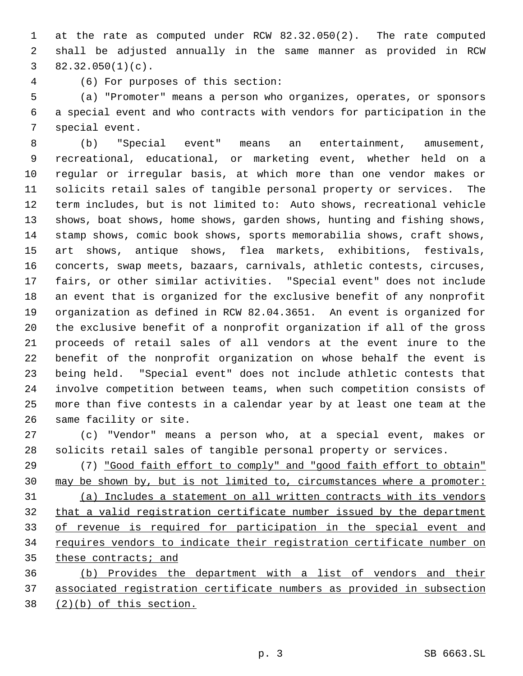at the rate as computed under RCW 82.32.050(2). The rate computed shall be adjusted annually in the same manner as provided in RCW  $3 \quad 82.32.050(1)(c)$ .

(6) For purposes of this section:

 (a) "Promoter" means a person who organizes, operates, or sponsors a special event and who contracts with vendors for participation in the special event.

 (b) "Special event" means an entertainment, amusement, recreational, educational, or marketing event, whether held on a regular or irregular basis, at which more than one vendor makes or solicits retail sales of tangible personal property or services. The term includes, but is not limited to: Auto shows, recreational vehicle shows, boat shows, home shows, garden shows, hunting and fishing shows, stamp shows, comic book shows, sports memorabilia shows, craft shows, art shows, antique shows, flea markets, exhibitions, festivals, concerts, swap meets, bazaars, carnivals, athletic contests, circuses, fairs, or other similar activities. "Special event" does not include an event that is organized for the exclusive benefit of any nonprofit organization as defined in RCW 82.04.3651. An event is organized for the exclusive benefit of a nonprofit organization if all of the gross proceeds of retail sales of all vendors at the event inure to the benefit of the nonprofit organization on whose behalf the event is being held. "Special event" does not include athletic contests that involve competition between teams, when such competition consists of more than five contests in a calendar year by at least one team at the same facility or site.

 (c) "Vendor" means a person who, at a special event, makes or solicits retail sales of tangible personal property or services.

 (7) "Good faith effort to comply" and "good faith effort to obtain" may be shown by, but is not limited to, circumstances where a promoter: (a) Includes a statement on all written contracts with its vendors that a valid registration certificate number issued by the department of revenue is required for participation in the special event and 34 requires vendors to indicate their registration certificate number on 35 these contracts; and

 (b) Provides the department with a list of vendors and their associated registration certificate numbers as provided in subsection (2)(b) of this section.